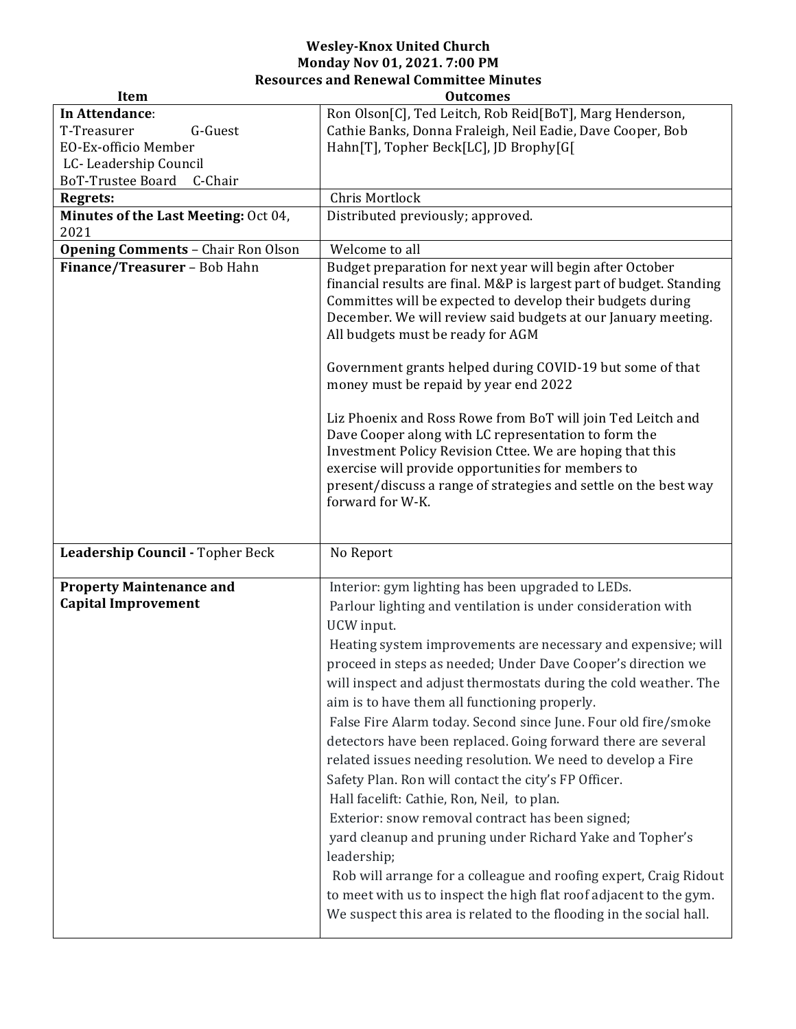## **Wesley-Knox United Church Monday Nov 01, 2021. 7:00 PM Resources and Renewal Committee Minutes**

| <b>Item</b>                                                   | <b>Outcomes</b>                                                                                                                                                                                                                                                                                                                                                                                                                                                                                                                                                                                                                                                                                                                                                                                                                                                                                                                                                                                                                                 |
|---------------------------------------------------------------|-------------------------------------------------------------------------------------------------------------------------------------------------------------------------------------------------------------------------------------------------------------------------------------------------------------------------------------------------------------------------------------------------------------------------------------------------------------------------------------------------------------------------------------------------------------------------------------------------------------------------------------------------------------------------------------------------------------------------------------------------------------------------------------------------------------------------------------------------------------------------------------------------------------------------------------------------------------------------------------------------------------------------------------------------|
| In Attendance:                                                | Ron Olson[C], Ted Leitch, Rob Reid[BoT], Marg Henderson,                                                                                                                                                                                                                                                                                                                                                                                                                                                                                                                                                                                                                                                                                                                                                                                                                                                                                                                                                                                        |
| T-Treasurer<br>G-Guest                                        | Cathie Banks, Donna Fraleigh, Neil Eadie, Dave Cooper, Bob                                                                                                                                                                                                                                                                                                                                                                                                                                                                                                                                                                                                                                                                                                                                                                                                                                                                                                                                                                                      |
| EO-Ex-officio Member                                          | Hahn[T], Topher Beck[LC], JD Brophy[G[                                                                                                                                                                                                                                                                                                                                                                                                                                                                                                                                                                                                                                                                                                                                                                                                                                                                                                                                                                                                          |
| LC-Leadership Council                                         |                                                                                                                                                                                                                                                                                                                                                                                                                                                                                                                                                                                                                                                                                                                                                                                                                                                                                                                                                                                                                                                 |
| BoT-Trustee Board<br>C-Chair                                  |                                                                                                                                                                                                                                                                                                                                                                                                                                                                                                                                                                                                                                                                                                                                                                                                                                                                                                                                                                                                                                                 |
| Regrets:                                                      | Chris Mortlock                                                                                                                                                                                                                                                                                                                                                                                                                                                                                                                                                                                                                                                                                                                                                                                                                                                                                                                                                                                                                                  |
| Minutes of the Last Meeting: Oct 04,<br>2021                  | Distributed previously; approved.                                                                                                                                                                                                                                                                                                                                                                                                                                                                                                                                                                                                                                                                                                                                                                                                                                                                                                                                                                                                               |
| <b>Opening Comments - Chair Ron Olson</b>                     | Welcome to all                                                                                                                                                                                                                                                                                                                                                                                                                                                                                                                                                                                                                                                                                                                                                                                                                                                                                                                                                                                                                                  |
| Finance/Treasurer - Bob Hahn                                  | Budget preparation for next year will begin after October<br>financial results are final. M&P is largest part of budget. Standing<br>Committes will be expected to develop their budgets during<br>December. We will review said budgets at our January meeting.<br>All budgets must be ready for AGM<br>Government grants helped during COVID-19 but some of that<br>money must be repaid by year end 2022<br>Liz Phoenix and Ross Rowe from BoT will join Ted Leitch and<br>Dave Cooper along with LC representation to form the<br>Investment Policy Revision Cttee. We are hoping that this<br>exercise will provide opportunities for members to<br>present/discuss a range of strategies and settle on the best way<br>forward for W-K.                                                                                                                                                                                                                                                                                                   |
| Leadership Council - Topher Beck                              | No Report                                                                                                                                                                                                                                                                                                                                                                                                                                                                                                                                                                                                                                                                                                                                                                                                                                                                                                                                                                                                                                       |
|                                                               |                                                                                                                                                                                                                                                                                                                                                                                                                                                                                                                                                                                                                                                                                                                                                                                                                                                                                                                                                                                                                                                 |
| <b>Property Maintenance and</b><br><b>Capital Improvement</b> | Interior: gym lighting has been upgraded to LEDs.<br>Parlour lighting and ventilation is under consideration with<br>UCW input.<br>Heating system improvements are necessary and expensive; will<br>proceed in steps as needed; Under Dave Cooper's direction we<br>will inspect and adjust thermostats during the cold weather. The<br>aim is to have them all functioning properly.<br>False Fire Alarm today. Second since June. Four old fire/smoke<br>detectors have been replaced. Going forward there are several<br>related issues needing resolution. We need to develop a Fire<br>Safety Plan. Ron will contact the city's FP Officer.<br>Hall facelift: Cathie, Ron, Neil, to plan.<br>Exterior: snow removal contract has been signed;<br>yard cleanup and pruning under Richard Yake and Topher's<br>leadership;<br>Rob will arrange for a colleague and roofing expert, Craig Ridout<br>to meet with us to inspect the high flat roof adjacent to the gym.<br>We suspect this area is related to the flooding in the social hall. |